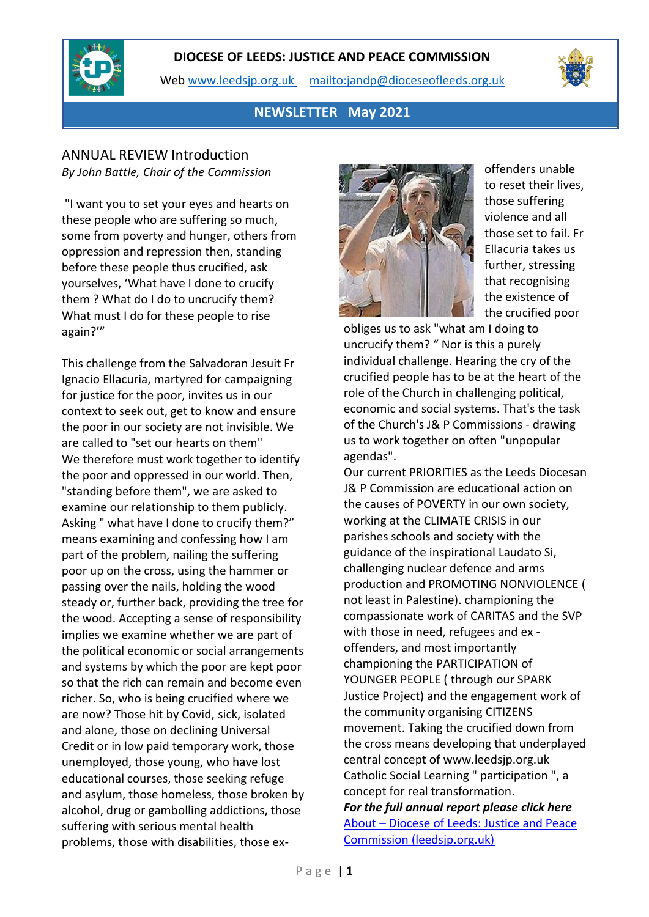

Web [www.leedsjp.org.uk](http://www.leedsjp.org.uk/) <mailto:jandp@dioceseofleeds.org.uk>



## **NEWSLETTER May 2021**

### ANNUAL REVIEW Introduction *By John Battle, Chair of the Commission*

"I want you to set your eyes and hearts on these people who are suffering so much, some from poverty and hunger, others from oppression and repression then, standing before these people thus crucified, ask yourselves, 'What have I done to crucify them ? What do I do to uncrucify them? What must I do for these people to rise again?'"

This challenge from the Salvadoran Jesuit Fr Ignacio Ellacuria, martyred for campaigning for justice for the poor, invites us in our context to seek out, get to know and ensure the poor in our society are not invisible. We are called to "set our hearts on them" We therefore must work together to identify the poor and oppressed in our world. Then, "standing before them", we are asked to examine our relationship to them publicly. Asking " what have I done to crucify them?" means examining and confessing how I am part of the problem, nailing the suffering poor up on the cross, using the hammer or passing over the nails, holding the wood steady or, further back, providing the tree for the wood. Accepting a sense of responsibility implies we examine whether we are part of the political economic or social arrangements and systems by which the poor are kept poor so that the rich can remain and become even richer. So, who is being crucified where we are now? Those hit by Covid, sick, isolated and alone, those on declining Universal Credit or in low paid temporary work, those unemployed, those young, who have lost educational courses, those seeking refuge and asylum, those homeless, those broken by alcohol, drug or gambolling addictions, those suffering with serious mental health problems, those with disabilities, those ex-



offenders unable to reset their lives, those suffering violence and all those set to fail. Fr Ellacuria takes us further, stressing that recognising the existence of the crucified poor

obliges us to ask "what am I doing to uncrucify them? " Nor is this a purely individual challenge. Hearing the cry of the crucified people has to be at the heart of the role of the Church in challenging political, economic and social systems. That's the task of the Church's J& P Commissions - drawing us to work together on often "unpopular agendas".

Our current PRIORITIES as the Leeds Diocesan J& P Commission are educational action on the causes of POVERTY in our own society, working at the CLIMATE CRISIS in our parishes schools and society with the guidance of the inspirational Laudato Si, challenging nuclear defence and arms production and PROMOTING NONVIOLENCE ( not least in Palestine). championing the compassionate work of CARITAS and the SVP with those in need, refugees and ex offenders, and most importantly championing the PARTICIPATION of YOUNGER PEOPLE ( through our SPARK Justice Project) and the engagement work of the community organising CITIZENS movement. Taking the crucified down from the cross means developing that underplayed central concept of www.leedsjp.org.uk Catholic Social Learning " participation ", a concept for real transformation. *For the full annual report please click here*

About – [Diocese of Leeds: Justice and Peace](https://www.leedsjp.org.uk/about/)  [Commission \(leedsjp.org.uk\)](https://www.leedsjp.org.uk/about/)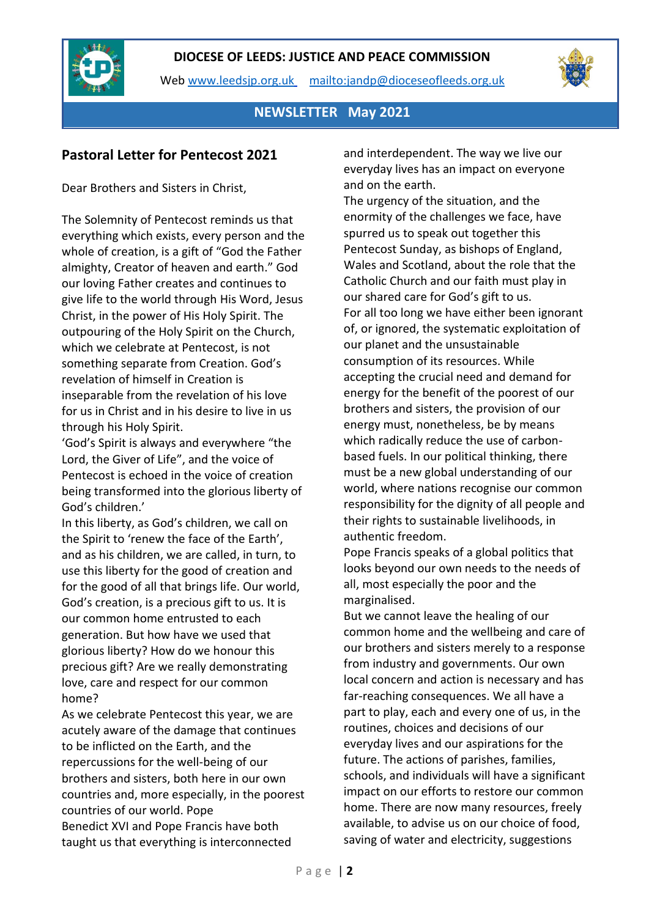

Web [www.leedsjp.org.uk](http://www.leedsjp.org.uk/) <mailto:jandp@dioceseofleeds.org.uk>



**NEWSLETTER May 2021**

## **Pastoral Letter for Pentecost 2021**

Dear Brothers and Sisters in Christ,

The Solemnity of Pentecost reminds us that everything which exists, every person and the whole of creation, is a gift of "God the Father almighty, Creator of heaven and earth." God our loving Father creates and continues to give life to the world through His Word, Jesus Christ, in the power of His Holy Spirit. The outpouring of the Holy Spirit on the Church, which we celebrate at Pentecost, is not something separate from Creation. God's revelation of himself in Creation is inseparable from the revelation of his love for us in Christ and in his desire to live in us through his Holy Spirit.

'God's Spirit is always and everywhere "the Lord, the Giver of Life", and the voice of Pentecost is echoed in the voice of creation being transformed into the glorious liberty of God's children.'

In this liberty, as God's children, we call on the Spirit to 'renew the face of the Earth', and as his children, we are called, in turn, to use this liberty for the good of creation and for the good of all that brings life. Our world, God's creation, is a precious gift to us. It is our common home entrusted to each generation. But how have we used that glorious liberty? How do we honour this precious gift? Are we really demonstrating love, care and respect for our common home?

As we celebrate Pentecost this year, we are acutely aware of the damage that continues to be inflicted on the Earth, and the repercussions for the well-being of our brothers and sisters, both here in our own countries and, more especially, in the poorest countries of our world. Pope Benedict XVI and Pope Francis have both taught us that everything is interconnected

and interdependent. The way we live our everyday lives has an impact on everyone and on the earth.

The urgency of the situation, and the enormity of the challenges we face, have spurred us to speak out together this Pentecost Sunday, as bishops of England, Wales and Scotland, about the role that the Catholic Church and our faith must play in our shared care for God's gift to us. For all too long we have either been ignorant of, or ignored, the systematic exploitation of our planet and the unsustainable consumption of its resources. While accepting the crucial need and demand for energy for the benefit of the poorest of our brothers and sisters, the provision of our energy must, nonetheless, be by means which radically reduce the use of carbonbased fuels. In our political thinking, there must be a new global understanding of our world, where nations recognise our common responsibility for the dignity of all people and their rights to sustainable livelihoods, in authentic freedom.

Pope Francis speaks of a global politics that looks beyond our own needs to the needs of all, most especially the poor and the marginalised.

But we cannot leave the healing of our common home and the wellbeing and care of our brothers and sisters merely to a response from industry and governments. Our own local concern and action is necessary and has far-reaching consequences. We all have a part to play, each and every one of us, in the routines, choices and decisions of our everyday lives and our aspirations for the future. The actions of parishes, families, schools, and individuals will have a significant impact on our efforts to restore our common home. There are now many resources, freely available, to advise us on our choice of food, saving of water and electricity, suggestions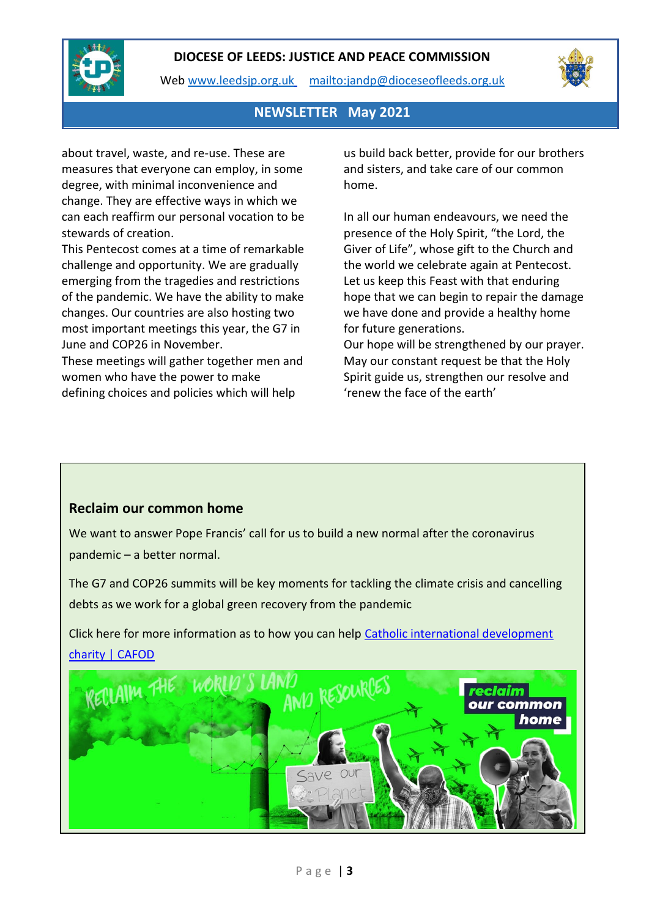

Web [www.leedsjp.org.uk](http://www.leedsjp.org.uk/) <mailto:jandp@dioceseofleeds.org.uk>



### **NEWSLETTER May 2021**

about travel, waste, and re-use. These are measures that everyone can employ, in some degree, with minimal inconvenience and change. They are effective ways in which we can each reaffirm our personal vocation to be stewards of creation.

This Pentecost comes at a time of remarkable challenge and opportunity. We are gradually emerging from the tragedies and restrictions of the pandemic. We have the ability to make changes. Our countries are also hosting two most important meetings this year, the G7 in June and COP26 in November.

These meetings will gather together men and women who have the power to make defining choices and policies which will help

us build back better, provide for our brothers and sisters, and take care of our common home.

In all our human endeavours, we need the presence of the Holy Spirit, "the Lord, the Giver of Life", whose gift to the Church and the world we celebrate again at Pentecost. Let us keep this Feast with that enduring hope that we can begin to repair the damage we have done and provide a healthy home for future generations.

Our hope will be strengthened by our prayer. May our constant request be that the Holy Spirit guide us, strengthen our resolve and 'renew the face of the earth'

### **Reclaim our common home**

We want to answer Pope Francis' call for us to build a new normal after the coronavirus pandemic – a better normal.

The G7 and COP26 summits will be key moments for tackling the climate crisis and cancelling debts as we work for a global green recovery from the pandemic

Click here for more information as to how you can help [Catholic international development](https://cafod.org.uk/)  [charity | CAFOD](https://cafod.org.uk/)

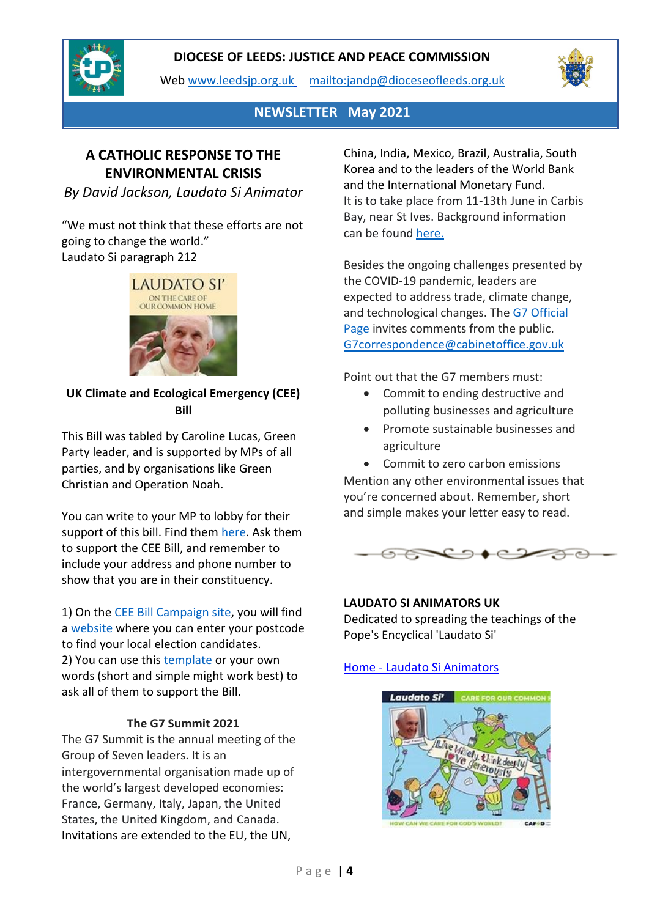

Web [www.leedsjp.org.uk](http://www.leedsjp.org.uk/) <mailto:jandp@dioceseofleeds.org.uk>



**NEWSLETTER May 2021**

# **A CATHOLIC RESPONSE TO THE ENVIRONMENTAL CRISIS**

*By David Jackson, Laudato Si Animator*

"We must not think that these efforts are not going to change the world." Laudato Si paragraph 212



**UK Climate and Ecological Emergency (CEE) Bill**

This Bill was tabled by Caroline Lucas, Green Party leader, and is supported by MPs of all parties, and by organisations like Green Christian and Operation Noah.

You can write to your MP to lobby for their support of this bill. Find them [here.](https://members.parliament.uk/constituencies/) Ask them to support the CEE Bill, and remember to include your address and phone number to show that you are in their constituency.

1) On the [CEE Bill Campaign site,](https://www.ceebill.uk/) you will find a [website](https://whocanivotefor.co.uk/) where you can enter your postcode to find your local election candidates. 2) You can use this [template](https://docs.google.com/document/d/1HD8AtPsWc873v-_LuoRFkTCL7pVHG1aztJDyhXvyGzE/edit) or your own words (short and simple might work best) to ask all of them to support the Bill.

#### **The G7 Summit 2021**

The G7 Summit is the annual meeting of the Group of Seven leaders. It is an intergovernmental organisation made up of the world's largest developed economies: France, Germany, Italy, Japan, the United States, the United Kingdom, and Canada. Invitations are extended to the EU, the UN,

China, India, Mexico, Brazil, Australia, South Korea and to the leaders of the World Bank and the International Monetary Fund. It is to take place from 11-13th June in Carbis Bay, near St Ives. Background information can be found [here.](https://www.thebalance.com/g8-summit-what-is-it-who-belongs-what-happens-3306112)

Besides the ongoing challenges presented by the COVID-19 pandemic, leaders are expected to address trade, climate change, and technological changes. The [G7 Official](https://www.g7uk.org/)  [Page](https://www.g7uk.org/) invites comments from the public. [G7correspondence@cabinetoffice.gov.uk](mailto:G7correspondence@cabinetoffice.gov.uk)

Point out that the G7 members must:

- Commit to ending destructive and polluting businesses and agriculture
- Promote sustainable businesses and agriculture

• Commit to zero carbon emissions Mention any other environmental issues that you're concerned about. Remember, short and simple makes your letter easy to read.



**LAUDATO SI ANIMATORS UK** Dedicated to spreading the teachings of the Pope's Encyclical 'Laudato Si'

## Home - [Laudato Si Animators](https://laudatosianimators.org/)

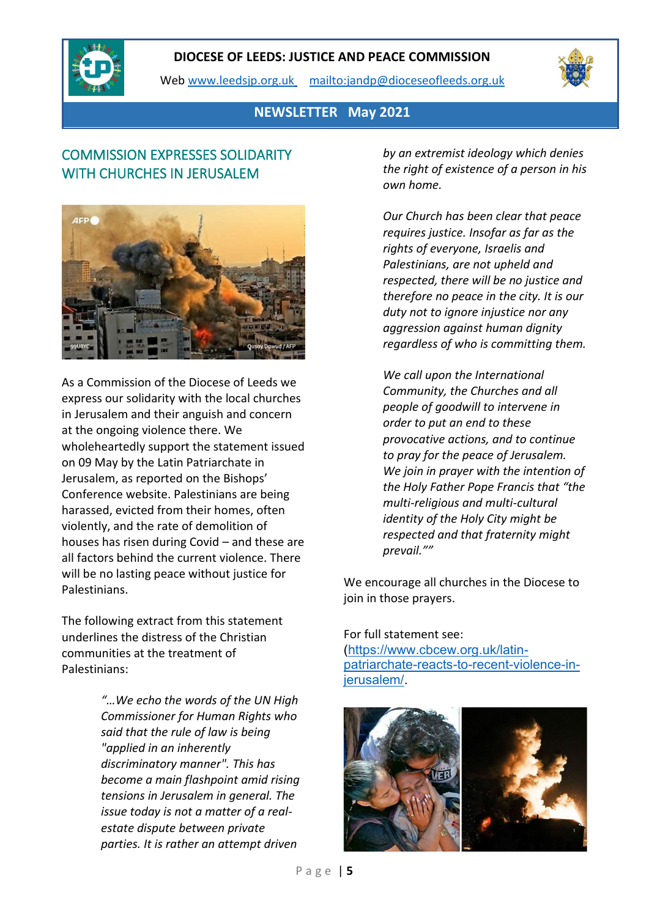

Web [www.leedsjp.org.uk](http://www.leedsjp.org.uk/) <mailto:jandp@dioceseofleeds.org.uk>



**NEWSLETTER May 2021**

# COMMISSION EXPRESSES SOLIDARITY WITH CHURCHES IN JERUSALEM



As a Commission of the Diocese of Leeds we express our solidarity with the local churches in Jerusalem and their anguish and concern at the ongoing violence there. We wholeheartedly support the statement issued on 09 May by the Latin Patriarchate in Jerusalem, as reported on the Bishops' Conference website. Palestinians are being harassed, evicted from their homes, often violently, and the rate of demolition of houses has risen during Covid – and these are all factors behind the current violence. There will be no lasting peace without justice for Palestinians.

The following extract from this statement underlines the distress of the Christian communities at the treatment of Palestinians:

> *"…We echo the words of the UN High Commissioner for Human Rights who said that the rule of law is being "applied in an inherently discriminatory manner". This has become a main flashpoint amid rising tensions in Jerusalem in general. The issue today is not a matter of a realestate dispute between private parties. It is rather an attempt driven*

*by an extremist ideology which denies the right of existence of a person in his own home.*

*Our Church has been clear that peace requires justice. Insofar as far as the rights of everyone, Israelis and Palestinians, are not upheld and respected, there will be no justice and therefore no peace in the city. It is our duty not to ignore injustice nor any aggression against human dignity regardless of who is committing them.*

*We call upon the International Community, the Churches and all people of goodwill to intervene in order to put an end to these provocative actions, and to continue to pray for the peace of Jerusalem. We join in prayer with the intention of the Holy Father Pope Francis that "the multi-religious and multi-cultural identity of the Holy City might be respected and that fraternity might prevail.""*

We encourage all churches in the Diocese to join in those prayers.

#### For full statement see:

[\(https://www.cbcew.org.uk/latin](https://www.cbcew.org.uk/latin-patriarchate-reacts-to-recent-violence-in-jerusalem/)[patriarchate-reacts-to-recent-violence-in](https://www.cbcew.org.uk/latin-patriarchate-reacts-to-recent-violence-in-jerusalem/)[jerusalem/.](https://www.cbcew.org.uk/latin-patriarchate-reacts-to-recent-violence-in-jerusalem/)

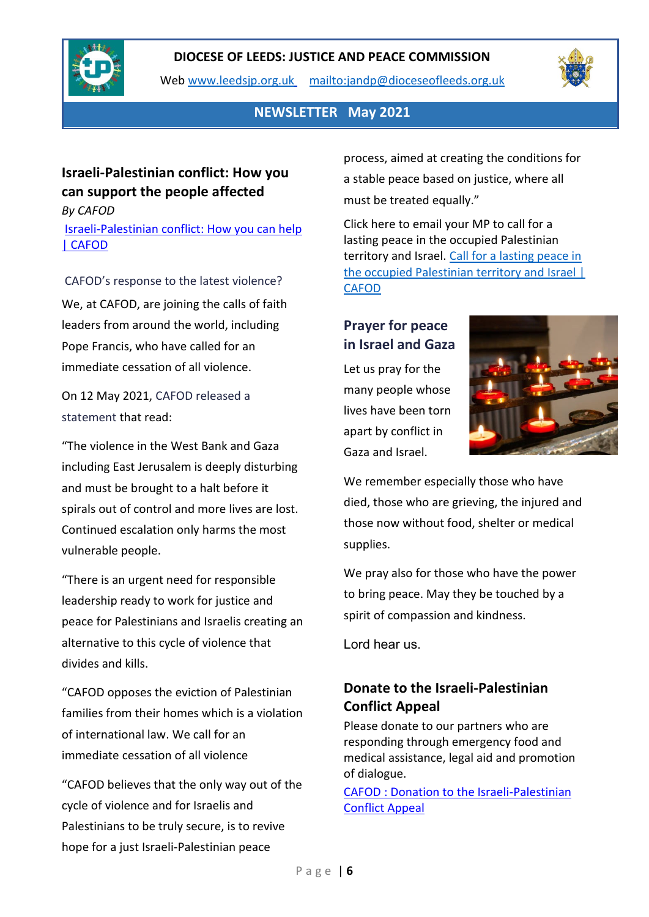

Web [www.leedsjp.org.uk](http://www.leedsjp.org.uk/) <mailto:jandp@dioceseofleeds.org.uk>



## **NEWSLETTER May 2021**

## **Israeli-Palestinian conflict: How you can support the people affected** *By CAFOD*

[Israeli-Palestinian conflict: How you can help](https://cafod.org.uk/News/Emergencies-news/Israeli-Palestinian-conflict)  [| CAFOD](https://cafod.org.uk/News/Emergencies-news/Israeli-Palestinian-conflict)

CAFOD's response to the latest violence? We, at CAFOD, are joining the calls of faith leaders from around the world, including Pope Francis, who have called for an immediate cessation of all violence.

On 12 May 2021, [CAFOD released a](https://cafod.org.uk/News/Press-office/Press-releases/Israel-Gaza-violence)  [statement](https://cafod.org.uk/News/Press-office/Press-releases/Israel-Gaza-violence) that read:

"The violence in the West Bank and Gaza including East Jerusalem is deeply disturbing and must be brought to a halt before it spirals out of control and more lives are lost. Continued escalation only harms the most vulnerable people.

"There is an urgent need for responsible leadership ready to work for justice and peace for Palestinians and Israelis creating an alternative to this cycle of violence that divides and kills.

"CAFOD opposes the eviction of Palestinian families from their homes which is a violation of international law. We call for an immediate cessation of all violence

"CAFOD believes that the only way out of the cycle of violence and for Israelis and Palestinians to be truly secure, is to revive hope for a just Israeli-Palestinian peace

process, aimed at creating the conditions for a stable peace based on justice, where all must be treated equally."

Click here to email your MP to call for a lasting peace in the occupied Palestinian territory and Israel. [Call for a lasting peace in](https://action.cafod.org.uk/page/82660/action/1)  [the occupied Palestinian territory and Israel |](https://action.cafod.org.uk/page/82660/action/1)  [CAFOD](https://action.cafod.org.uk/page/82660/action/1)

# **Prayer for peace in Israel and Gaza**

Let us pray for the many people whose lives have been torn apart by conflict in Gaza and Israel.



We remember especially those who have died, those who are grieving, the injured and those now without food, shelter or medical supplies.

We pray also for those who have the power to bring peace. May they be touched by a spirit of compassion and kindness.

Lord hear us.

# **Donate to the Israeli-Palestinian Conflict Appeal**

Please donate to our partners who are responding through emergency food and medical assistance, legal aid and promotion of dialogue.

[CAFOD : Donation to the Israeli-Palestinian](https://cafod.org.uk/donations/picker?defaultuniversaltype=single&_Appeal=123771)  [Conflict Appeal](https://cafod.org.uk/donations/picker?defaultuniversaltype=single&_Appeal=123771)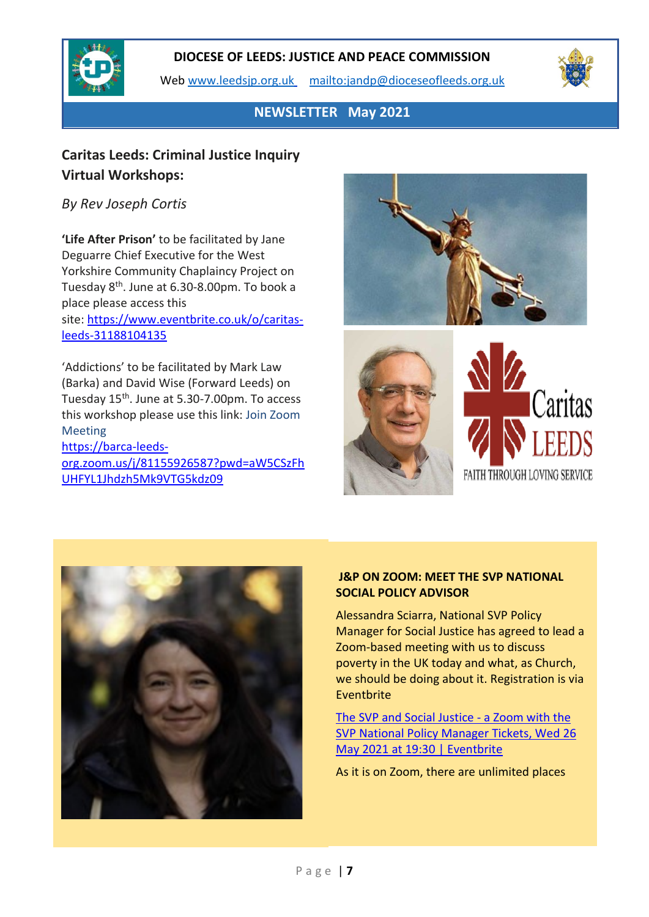

Web [www.leedsjp.org.uk](http://www.leedsjp.org.uk/) <mailto:jandp@dioceseofleeds.org.uk>



**NEWSLETTER May 2021**

## **Caritas Leeds: Criminal Justice Inquiry Virtual Workshops:**

## *By Rev Joseph Cortis*

**'Life After Prison'** to be facilitated by Jane Deguarre Chief Executive for the West Yorkshire Community Chaplaincy Project on Tuesday  $8<sup>th</sup>$ . June at 6.30-8.00pm. To book a place please access this site: [https://www.eventbrite.co.uk/o/caritas](https://www.eventbrite.co.uk/o/caritas-leeds-31188104135)[leeds-31188104135](https://www.eventbrite.co.uk/o/caritas-leeds-31188104135) 

'Addictions' to be facilitated by Mark Law (Barka) and David Wise (Forward Leeds) on Tuesday 15<sup>th</sup>. June at 5.30-7.00pm. To access this workshop please use this link: Join Zoom Meeting [https://barca-leeds](https://eu-west-1.protection.sophos.com/?d=zoom.us&u=aHR0cHM6Ly9iYXJjYS1sZWVkcy1vcmcuem9vbS51cy9qLzgxMTU1OTI2NTg3P3B3ZD1hVzVDU3pGaFVIRllMMUpoZHpoNU1rOVZURzVrZHowOQ==&i=NWNmNjM5Zjk2M2EzYmMxNDI0YzEyMTky&t=OTNBVjZHRWxBelA5UFV1dUVVeERHNW5tWHRKRHNsL3JCbVVkd1pLRERPQT0=&h=00bfa5a96e2e4bba925552b209b16f85)[org.zoom.us/j/81155926587?pwd=aW5CSzFh](https://eu-west-1.protection.sophos.com/?d=zoom.us&u=aHR0cHM6Ly9iYXJjYS1sZWVkcy1vcmcuem9vbS51cy9qLzgxMTU1OTI2NTg3P3B3ZD1hVzVDU3pGaFVIRllMMUpoZHpoNU1rOVZURzVrZHowOQ==&i=NWNmNjM5Zjk2M2EzYmMxNDI0YzEyMTky&t=OTNBVjZHRWxBelA5UFV1dUVVeERHNW5tWHRKRHNsL3JCbVVkd1pLRERPQT0=&h=00bfa5a96e2e4bba925552b209b16f85)

[UHFYL1Jhdzh5Mk9VTG5kdz09](https://eu-west-1.protection.sophos.com/?d=zoom.us&u=aHR0cHM6Ly9iYXJjYS1sZWVkcy1vcmcuem9vbS51cy9qLzgxMTU1OTI2NTg3P3B3ZD1hVzVDU3pGaFVIRllMMUpoZHpoNU1rOVZURzVrZHowOQ==&i=NWNmNjM5Zjk2M2EzYmMxNDI0YzEyMTky&t=OTNBVjZHRWxBelA5UFV1dUVVeERHNW5tWHRKRHNsL3JCbVVkd1pLRERPQT0=&h=00bfa5a96e2e4bba925552b209b16f85)







### **J&P ON ZOOM: MEET THE SVP NATIONAL SOCIAL POLICY ADVISOR**

Alessandra Sciarra, National SVP Policy Manager for Social Justice has agreed to lead a Zoom-based meeting with us to discuss poverty in the UK today and what, as Church, we should be doing about it. Registration is via Eventbrite

[The SVP and Social Justice -](https://www.eventbrite.co.uk/e/the-svp-and-social-justice-a-zoom-with-the-svp-national-policy-manager-tickets-151604650591) a Zoom with the [SVP National Policy Manager Tickets, Wed](https://www.eventbrite.co.uk/e/the-svp-and-social-justice-a-zoom-with-the-svp-national-policy-manager-tickets-151604650591) 26 [May 2021 at 19:30 | Eventbrite](https://www.eventbrite.co.uk/e/the-svp-and-social-justice-a-zoom-with-the-svp-national-policy-manager-tickets-151604650591)

As it is on Zoom, there are unlimited places